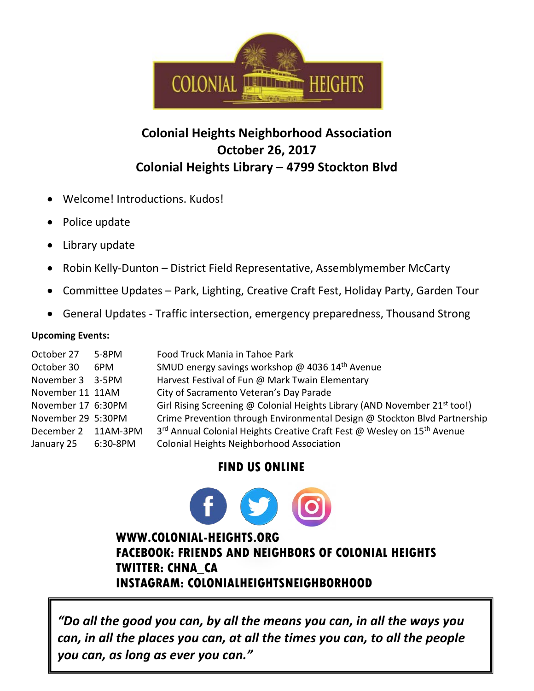

## **Colonial Heights Neighborhood Association October 26, 2017 Colonial Heights Library – 4799 Stockton Blvd**

- Welcome! Introductions. Kudos!
- Police update
- Library update
- Robin Kelly-Dunton District Field Representative, Assemblymember McCarty
- Committee Updates Park, Lighting, Creative Craft Fest, Holiday Party, Garden Tour
- General Updates Traffic intersection, emergency preparedness, Thousand Strong

## **Upcoming Events:**

| October 27<br>October 30<br>November 3 3-5PM<br>November 11 11AM<br>November 17 6:30PM<br>November 29 5:30PM<br>December 2 11AM-3PM | 5-8PM<br>6PM | Food Truck Mania in Tahoe Park<br>SMUD energy savings workshop @ 4036 14 <sup>th</sup> Avenue<br>Harvest Festival of Fun @ Mark Twain Elementary<br>City of Sacramento Veteran's Day Parade<br>Girl Rising Screening @ Colonial Heights Library (AND November 21 <sup>st</sup> too!)<br>Crime Prevention through Environmental Design @ Stockton Blvd Partnership<br>3 <sup>rd</sup> Annual Colonial Heights Creative Craft Fest @ Wesley on 15 <sup>th</sup> Avenue |
|-------------------------------------------------------------------------------------------------------------------------------------|--------------|----------------------------------------------------------------------------------------------------------------------------------------------------------------------------------------------------------------------------------------------------------------------------------------------------------------------------------------------------------------------------------------------------------------------------------------------------------------------|
|                                                                                                                                     | 6:30-8PM     | Colonial Heights Neighborhood Association                                                                                                                                                                                                                                                                                                                                                                                                                            |
| January 25                                                                                                                          |              |                                                                                                                                                                                                                                                                                                                                                                                                                                                                      |

## **FIND US ONLINE**

## **WWW.COLONIAL-HEIGHTS.ORG FACEBOOK: FRIENDS AND NEIGHBORS OF COLONIAL HEIGHTS TWITTER: CHNA\_CA INSTAGRAM: COLONIALHEIGHTSNEIGHBORHOOD**

*"Do all the good you can, by all the means you can, in all the ways you can, in all the places you can, at all the times you can, to all the people you can, as long as ever you can."*